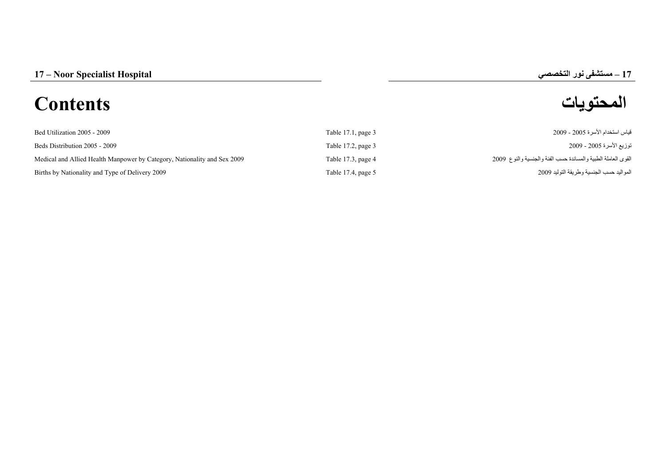# **–**

# **المحتويات Contents**

| Bed Utilization 2005 - 2009                                              | Table 17.1, page 3 | قياس استخدام الأسر ة 2005 - 2009                              |
|--------------------------------------------------------------------------|--------------------|---------------------------------------------------------------|
| Beds Distribution 2005 - 2009                                            | Table 17.2, page 3 | توزيع الأسرة 2005 - 2009                                      |
| Medical and Allied Health Manpower by Category, Nationality and Sex 2009 | Table 17.3, page 4 | القوى العاملة الطبية والمساندة حسب الفئة والجنسية والنوع 2009 |
| Births by Nationality and Type of Delivery 2009                          | Table 17.4, page 5 | المواليد حسب الجنسية وطريقة التوليد 2009                      |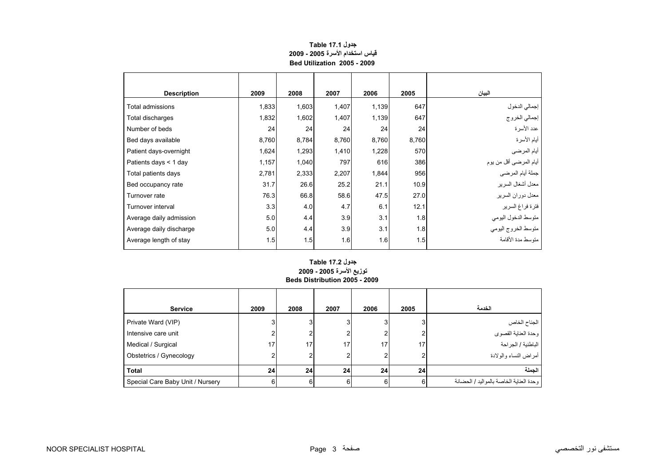## **جدول 17.1 Table قياس استخدام الأسرة 2005 - 2009 Bed Utilization 2005 - 2009**

<span id="page-1-0"></span>

| <b>Description</b>      | 2009  | 2008  | 2007  | 2006  | 2005  | البيان                                     |
|-------------------------|-------|-------|-------|-------|-------|--------------------------------------------|
| Total admissions        | 1,833 | 1,603 | 1,407 | 1,139 | 647   |                                            |
| Total discharges        | 1,832 | 1,602 | 1,407 | 1,139 | 647   | إجمالي الدخول<br>إجمالي الخروج             |
| Number of beds          | 24    | 24    | 24    | 24    | 24    | عدد الأسرة                                 |
| Bed days available      | 8,760 | 8,784 | 8,760 | 8,760 | 8,760 | أيام الأسرة                                |
| Patient days-overnight  | 1,624 | 1,293 | 1,410 | 1,228 | 570   | أيام المرضي                                |
| Patients days $<$ 1 day | 1,157 | 1,040 | 797   | 616   | 386   | أيام المرضىي أقل من يوم                    |
| Total patients days     | 2,781 | 2,333 | 2,207 | 1,844 | 956   |                                            |
| Bed occupancy rate      | 31.7  | 26.6  | 25.2  | 21.1  | 10.9  | معدل أشغال السرير                          |
| Turnover rate           | 76.3  | 66.8  | 58.6  | 47.5  | 27.0  | معدل دوران السرير                          |
| Turnover interval       | 3.3   | 4.0   | 4.7   | 6.1   | 12.1  | فترة فراغ السرير                           |
| Average daily admission | 5.0   | 4.4   | 3.9   | 3.1   | 1.8   |                                            |
| Average daily discharge | 5.0   | 4.4   | 3.9   | 3.1   | 1.8   | متوسط الدخول اليومي<br>متوسط الخروج اليومي |
| Average length of stay  | 1.5   | 1.5   | 1.6   | 1.6   | 1.5   | متوسط مدة الأقامة                          |

### **توزيع الأسرة 2005 - 2009 Beds Distribution 2005 - 2009 جدول 17.2 Table**

| <b>Service</b>                   | 2009 | 2008 | 2007 | 2006            | 2005 | الخدمة                                  |
|----------------------------------|------|------|------|-----------------|------|-----------------------------------------|
| Private Ward (VIP)               |      | 3    |      |                 | 3    | الجناح الخاص                            |
| Intensive care unit              |      |      |      |                 | ົ    | وحدة العناية القصوى                     |
| Medical / Surgical               | 17   | 17   | 17   | 17              | 17   | الباطنية / الجراحة                      |
| Obstetrics / Gynecology          |      |      |      |                 |      | أمراض النساء والولادة                   |
| <b>Total</b>                     | 24   | 24   | 24   | 24 <sub>1</sub> | 24   | الحملة                                  |
| Special Care Baby Unit / Nursery |      | 6    | 6    | ิค              | 6    | وحدة العناية الخاصة بالمواليد / الحضانة |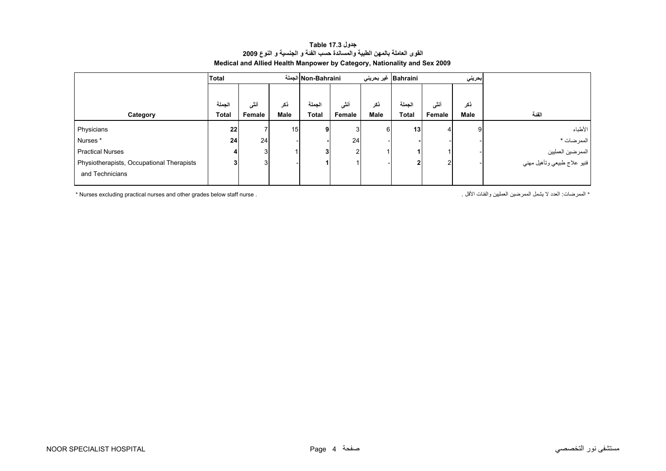<span id="page-2-0"></span>

| Total  |                 |      |              |        |                                     |              |                       |      |                                                  |
|--------|-----------------|------|--------------|--------|-------------------------------------|--------------|-----------------------|------|--------------------------------------------------|
|        |                 |      |              |        |                                     |              |                       |      |                                                  |
| الجملة | أنشى            | نكر  | الجملة       | أنشى   | ذكر                                 | الجملة       | أنشى                  | نكر  |                                                  |
| Total  | Female          | Male | <b>Total</b> | Female | Male                                | <b>Total</b> | Female                | Male | الفئة                                            |
|        |                 |      | 9            |        | 6                                   | 13           |                       | 9    | الأطباء                                          |
| 24     | 24 <sub>1</sub> |      |              |        |                                     |              |                       |      | الممرضات *                                       |
|        | 3               |      | 3            |        |                                     |              |                       |      |                                                  |
|        | 3               |      |              |        |                                     | 2            |                       |      | الممرضين العمليين<br>فنيو علاج طبيعي وتأهيل مهني |
|        |                 |      |              |        |                                     |              |                       |      |                                                  |
|        | 22              |      |              | 15     | الجملة Non-Bahraini<br>3<br>24<br>2 |              | Bahraini   غیر بحرینی |      | بحريني                                           |

### **جدول 17.3 Table القوى العاملة بالمهن الطبية والمساندة حسب الفئة <sup>و</sup> الجنسية <sup>و</sup> النوع <sup>2009</sup> Medical and Allied Health Manpower by Category, Nationality and Sex 2009**

\* Nurses excluding practical nurses and other grades below staff nurse . . الأقل والفئات العمليين الممرضين يشمل لا العدد :الممرضات\*